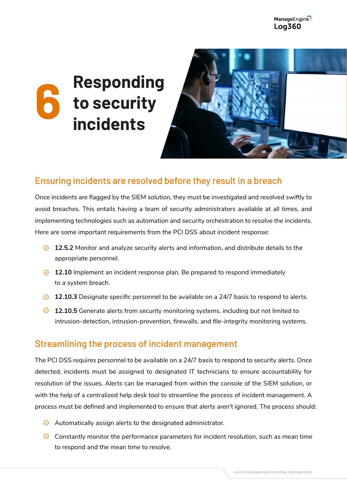ManageEngine **Log360** 

# **Responding to security incidents 6**



## Ensuring incidents are resolved before they result in a breach

Once incidents are flagged by the SIEM solution, they must be investigated and resolved swiftly to avoid breaches. This entails having a team of security administrators available at all times, and implementing technologies such as automation and security orchestration to resolve the incidents. Here are some important requirements from the PCI DSS about incident response:

- **12.5.2** Monitor and analyze security alerts and information, and distribute details to the appropriate personnel.
- **2.10** Inplement an incident response plan. Be prepared to respond immediately to a system breach.
- **2.10.3** Designate specific personnel to be available on a 24/7 basis to respond to alerts.
- **12.10.5** Generate alerts from security monitoring systems, including but not limited to intrusion-detection, intrusion-prevention, firewalls, and file-integrity monitoring systems.

### Streamlining the process of incident management

The PCI DSS requires personnel to be available on a 24/7 basis to respond to security alerts. Once detected, incidents must be assigned to designated IT technicians to ensure accountability for resolution of the issues. Alerts can be managed from within the console of the SIEM solution, or with the help of a centralized help desk tool to streamline the process of incident management. A process must be defined and implemented to ensure that alerts aren't ignored. The process should:

- $\odot$  Automatically assign alerts to the designated administrator.
- $\odot$  Constantly monitor the performance parameters for incident resolution, such as mean time to respond and the mean time to resolve.